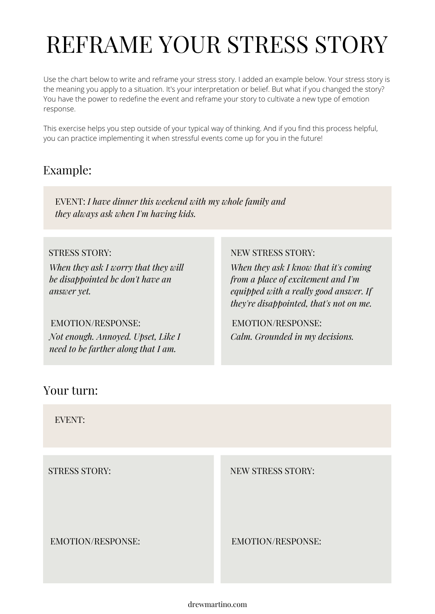# REFRAME YOUR STRESS STORY

Use the chart below to write and reframe your stress story. I added an example below. Your stress story is the meaning you apply to a situation. It's your interpretation or belief. But what if you changed the story? You have the power to redefine the event and reframe your story to cultivate a new type of emotion response.

This exercise helps you step outside of your typical way of thinking. And if you find this process helpful, you can practice implementing it when stressful events come up for you in the future!

## Example:

EVENT: *I have dinner this weekend with my whole family and they always ask when I'm having kids.*

*When they ask I worry that they will be disappointed bc don't have an answer yet.*

*Not enough. Annoyed. Upset, Like I need to be farther along that I am.*

### STRESS STORY: NEW STRESS STORY:

*When they ask I know that it's coming from a place of excitement and I'm equipped with a really good answer. If they're disappointed, that's not on me.*

EMOTION/RESPONSE: EMOTION/RESPONSE: *Calm. Grounded in my decisions.*

## Your turn:

EVENT:

STRESS STORY: NEW STRESS STORY:

EMOTION/RESPONSE: EMOTION/RESPONSE:

drewmartino.com